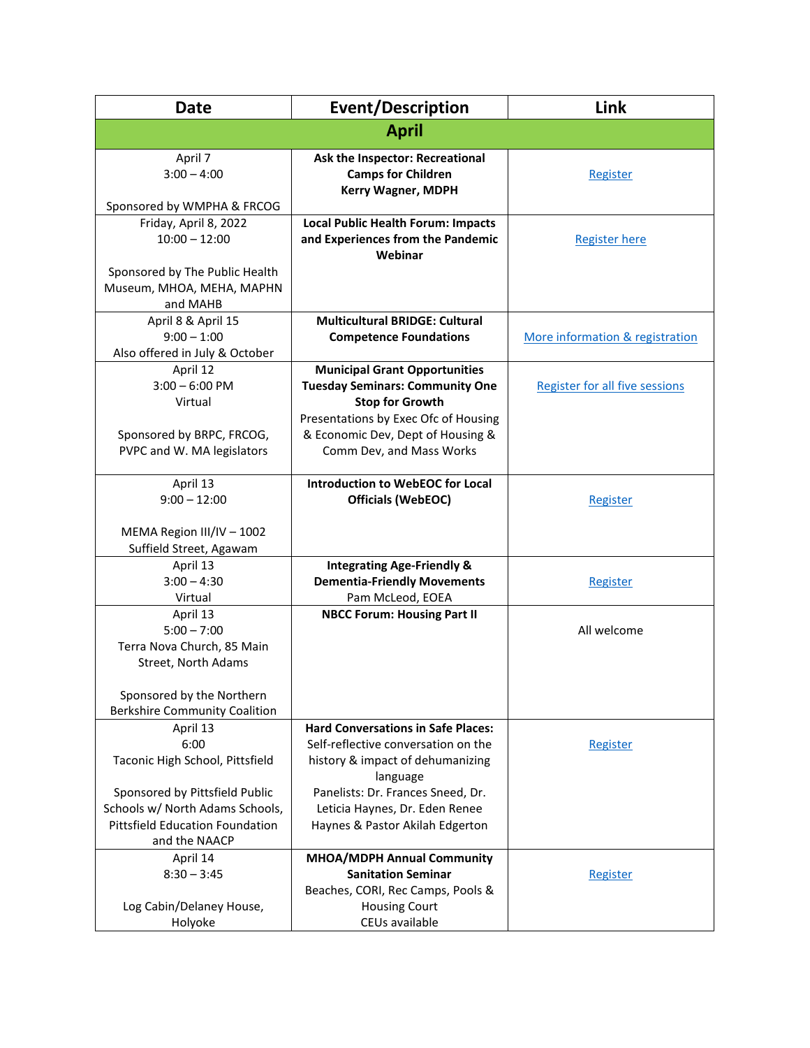| <b>Date</b>                                                                                                                  | <b>Event/Description</b>                                                                                                                                                                                          | Link                                  |
|------------------------------------------------------------------------------------------------------------------------------|-------------------------------------------------------------------------------------------------------------------------------------------------------------------------------------------------------------------|---------------------------------------|
|                                                                                                                              | <b>April</b>                                                                                                                                                                                                      |                                       |
| April 7<br>$3:00 - 4:00$<br>Sponsored by WMPHA & FRCOG                                                                       | Ask the Inspector: Recreational<br><b>Camps for Children</b><br><b>Kerry Wagner, MDPH</b>                                                                                                                         | Register                              |
| Friday, April 8, 2022<br>$10:00 - 12:00$<br>Sponsored by The Public Health<br>Museum, MHOA, MEHA, MAPHN                      | <b>Local Public Health Forum: Impacts</b><br>and Experiences from the Pandemic<br>Webinar                                                                                                                         | <b>Register here</b>                  |
| and MAHB<br>April 8 & April 15<br>$9:00 - 1:00$<br>Also offered in July & October                                            | <b>Multicultural BRIDGE: Cultural</b><br><b>Competence Foundations</b>                                                                                                                                            | More information & registration       |
| April 12<br>$3:00 - 6:00$ PM<br>Virtual<br>Sponsored by BRPC, FRCOG,<br>PVPC and W. MA legislators                           | <b>Municipal Grant Opportunities</b><br><b>Tuesday Seminars: Community One</b><br><b>Stop for Growth</b><br>Presentations by Exec Ofc of Housing<br>& Economic Dev, Dept of Housing &<br>Comm Dev, and Mass Works | <b>Register for all five sessions</b> |
| April 13<br>$9:00 - 12:00$<br>MEMA Region III/IV - 1002<br>Suffield Street, Agawam                                           | Introduction to WebEOC for Local<br><b>Officials (WebEOC)</b>                                                                                                                                                     | Register                              |
| April 13<br>$3:00 - 4:30$<br>Virtual                                                                                         | <b>Integrating Age-Friendly &amp;</b><br><b>Dementia-Friendly Movements</b><br>Pam McLeod, EOEA                                                                                                                   | Register                              |
| April 13<br>$5:00 - 7:00$<br>Terra Nova Church, 85 Main<br>Street, North Adams                                               | <b>NBCC Forum: Housing Part II</b>                                                                                                                                                                                | All welcome                           |
| Sponsored by the Northern<br><b>Berkshire Community Coalition</b>                                                            |                                                                                                                                                                                                                   |                                       |
| April 13<br>6:00<br>Taconic High School, Pittsfield                                                                          | <b>Hard Conversations in Safe Places:</b><br>Self-reflective conversation on the<br>history & impact of dehumanizing<br>language                                                                                  | Register                              |
| Sponsored by Pittsfield Public<br>Schools w/ North Adams Schools,<br><b>Pittsfield Education Foundation</b><br>and the NAACP | Panelists: Dr. Frances Sneed, Dr.<br>Leticia Haynes, Dr. Eden Renee<br>Haynes & Pastor Akilah Edgerton                                                                                                            |                                       |
| April 14<br>$8:30 - 3:45$<br>Log Cabin/Delaney House,<br>Holyoke                                                             | MHOA/MDPH Annual Community<br><b>Sanitation Seminar</b><br>Beaches, CORI, Rec Camps, Pools &<br><b>Housing Court</b><br>CEUs available                                                                            | Register                              |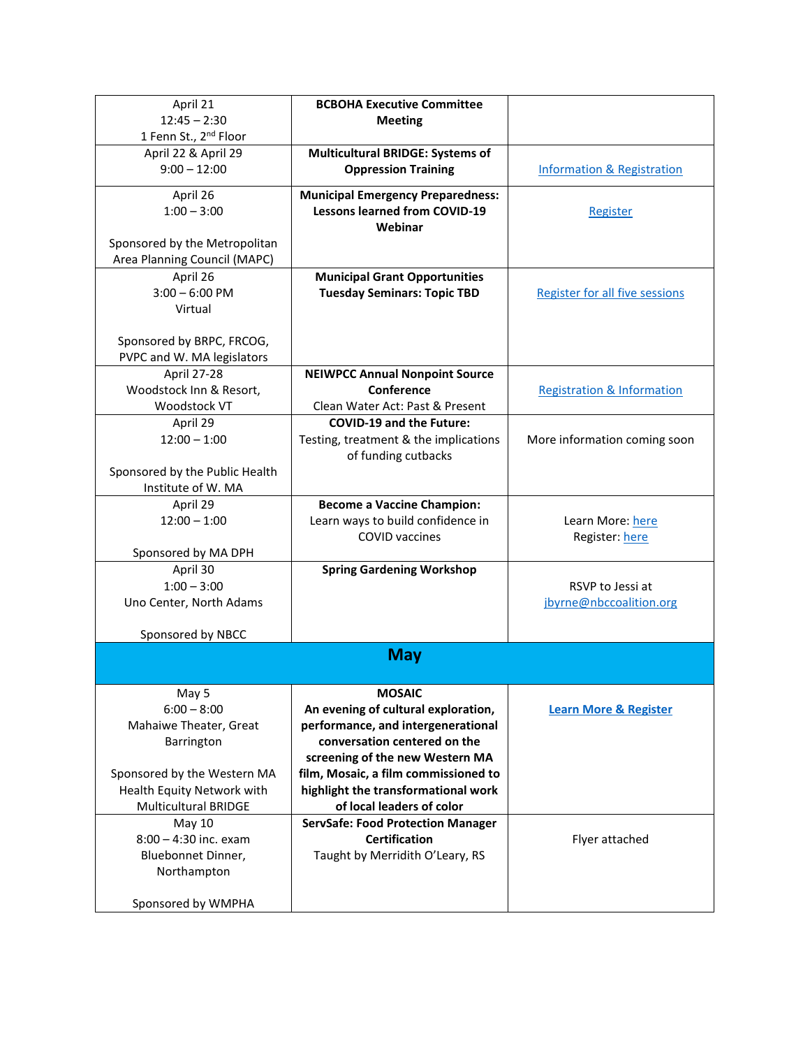| April 21                                                  | <b>BCBOHA Executive Committee</b>                                          |                                       |
|-----------------------------------------------------------|----------------------------------------------------------------------------|---------------------------------------|
| $12:45 - 2:30$<br>1 Fenn St., 2 <sup>nd</sup> Floor       | <b>Meeting</b>                                                             |                                       |
| April 22 & April 29                                       | <b>Multicultural BRIDGE: Systems of</b>                                    |                                       |
| $9:00 - 12:00$                                            | <b>Oppression Training</b>                                                 | <b>Information &amp; Registration</b> |
| April 26                                                  | <b>Municipal Emergency Preparedness:</b>                                   |                                       |
| $1:00 - 3:00$                                             | <b>Lessons learned from COVID-19</b><br>Webinar                            | Register                              |
| Sponsored by the Metropolitan                             |                                                                            |                                       |
| Area Planning Council (MAPC)                              |                                                                            |                                       |
| April 26<br>$3:00 - 6:00$ PM                              | <b>Municipal Grant Opportunities</b><br><b>Tuesday Seminars: Topic TBD</b> |                                       |
| Virtual                                                   |                                                                            | Register for all five sessions        |
|                                                           |                                                                            |                                       |
| Sponsored by BRPC, FRCOG,                                 |                                                                            |                                       |
| PVPC and W. MA legislators                                |                                                                            |                                       |
| <b>April 27-28</b>                                        | <b>NEIWPCC Annual Nonpoint Source</b>                                      |                                       |
| Woodstock Inn & Resort,                                   | Conference                                                                 | <b>Registration &amp; Information</b> |
| Woodstock VT                                              | Clean Water Act: Past & Present                                            |                                       |
| April 29                                                  | <b>COVID-19 and the Future:</b>                                            |                                       |
| $12:00 - 1:00$                                            | Testing, treatment & the implications<br>of funding cutbacks               | More information coming soon          |
| Sponsored by the Public Health                            |                                                                            |                                       |
| Institute of W. MA                                        |                                                                            |                                       |
| April 29                                                  | <b>Become a Vaccine Champion:</b>                                          |                                       |
| $12:00 - 1:00$                                            | Learn ways to build confidence in                                          | Learn More: here                      |
|                                                           | <b>COVID</b> vaccines                                                      | Register: here                        |
| Sponsored by MA DPH                                       |                                                                            |                                       |
| April 30                                                  | <b>Spring Gardening Workshop</b>                                           |                                       |
| $1:00 - 3:00$                                             |                                                                            | RSVP to Jessi at                      |
| Uno Center, North Adams                                   |                                                                            | jbyrne@nbccoalition.org               |
| Sponsored by NBCC                                         |                                                                            |                                       |
|                                                           | <b>May</b>                                                                 |                                       |
| May 5                                                     | <b>MOSAIC</b>                                                              |                                       |
| $6:00 - 8:00$                                             | An evening of cultural exploration,                                        | <b>Learn More &amp; Register</b>      |
| Mahaiwe Theater, Great                                    | performance, and intergenerational                                         |                                       |
| Barrington                                                | conversation centered on the                                               |                                       |
|                                                           | screening of the new Western MA                                            |                                       |
| Sponsored by the Western MA                               | film, Mosaic, a film commissioned to                                       |                                       |
| Health Equity Network with<br><b>Multicultural BRIDGE</b> | highlight the transformational work<br>of local leaders of color           |                                       |
| May 10                                                    | <b>ServSafe: Food Protection Manager</b>                                   |                                       |
| 8:00 - 4:30 inc. exam                                     | <b>Certification</b>                                                       | Flyer attached                        |
| Bluebonnet Dinner,                                        | Taught by Merridith O'Leary, RS                                            |                                       |
| Northampton                                               |                                                                            |                                       |
|                                                           |                                                                            |                                       |
| Sponsored by WMPHA                                        |                                                                            |                                       |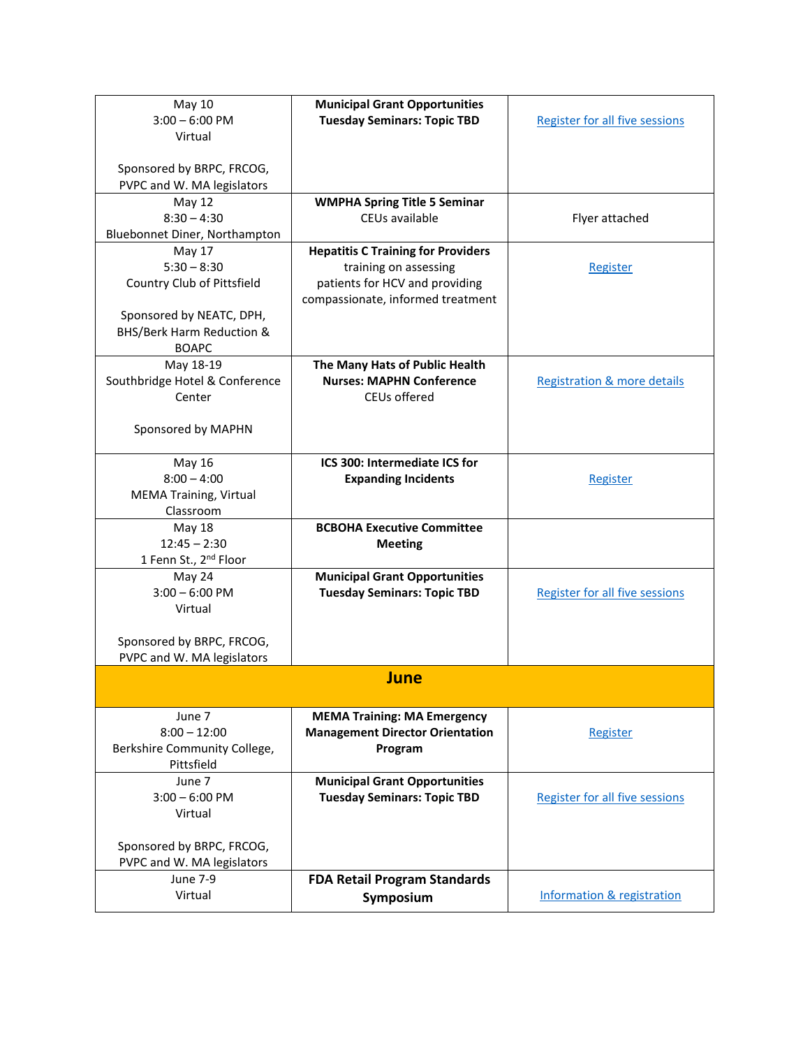| <b>May 10</b><br>$3:00 - 6:00$ PM<br>Virtual                                      | <b>Municipal Grant Opportunities</b><br><b>Tuesday Seminars: Topic TBD</b>                                                                | <b>Register for all five sessions</b>  |
|-----------------------------------------------------------------------------------|-------------------------------------------------------------------------------------------------------------------------------------------|----------------------------------------|
| Sponsored by BRPC, FRCOG,<br>PVPC and W. MA legislators                           |                                                                                                                                           |                                        |
| <b>May 12</b><br>$8:30 - 4:30$<br>Bluebonnet Diner, Northampton                   | <b>WMPHA Spring Title 5 Seminar</b><br>CEUs available                                                                                     | Flyer attached                         |
| May 17<br>$5:30 - 8:30$<br>Country Club of Pittsfield<br>Sponsored by NEATC, DPH, | <b>Hepatitis C Training for Providers</b><br>training on assessing<br>patients for HCV and providing<br>compassionate, informed treatment | Register                               |
| <b>BHS/Berk Harm Reduction &amp;</b><br><b>BOAPC</b>                              |                                                                                                                                           |                                        |
| May 18-19<br>Southbridge Hotel & Conference<br>Center                             | The Many Hats of Public Health<br><b>Nurses: MAPHN Conference</b><br>CEUs offered                                                         | <b>Registration &amp; more details</b> |
| Sponsored by MAPHN                                                                |                                                                                                                                           |                                        |
| May 16<br>$8:00 - 4:00$<br><b>MEMA Training, Virtual</b><br>Classroom             | ICS 300: Intermediate ICS for<br><b>Expanding Incidents</b>                                                                               | Register                               |
| <b>May 18</b><br>$12:45 - 2:30$<br>1 Fenn St., 2 <sup>nd</sup> Floor              | <b>BCBOHA Executive Committee</b><br><b>Meeting</b>                                                                                       |                                        |
| May 24<br>$3:00 - 6:00$ PM<br>Virtual                                             | <b>Municipal Grant Opportunities</b><br><b>Tuesday Seminars: Topic TBD</b>                                                                | <b>Register for all five sessions</b>  |
| Sponsored by BRPC, FRCOG,<br>PVPC and W. MA legislators                           |                                                                                                                                           |                                        |
|                                                                                   | June                                                                                                                                      |                                        |
| June 7<br>$8:00 - 12:00$<br>Berkshire Community College,<br>Pittsfield            | <b>MEMA Training: MA Emergency</b><br><b>Management Director Orientation</b><br>Program                                                   | Register                               |
| June 7<br>$3:00 - 6:00$ PM<br>Virtual<br>Sponsored by BRPC, FRCOG,                | <b>Municipal Grant Opportunities</b><br><b>Tuesday Seminars: Topic TBD</b>                                                                | <b>Register for all five sessions</b>  |
| PVPC and W. MA legislators<br><b>June 7-9</b>                                     | <b>FDA Retail Program Standards</b>                                                                                                       |                                        |
| Virtual                                                                           | Symposium                                                                                                                                 | <b>Information &amp; registration</b>  |